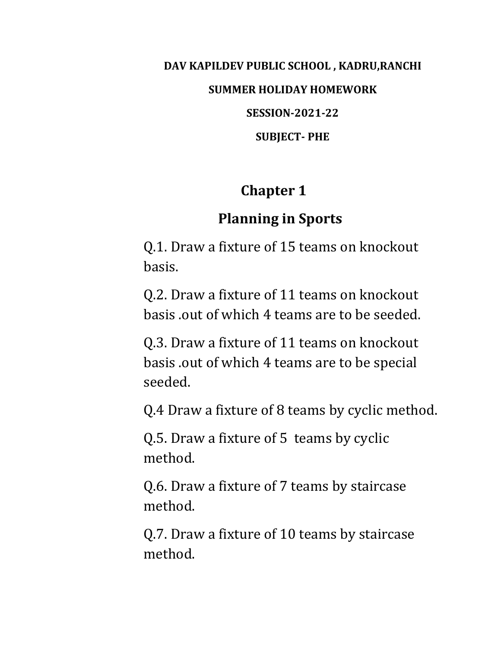# **DAV KAPILDEV PUBLIC SCHOOL , KADRU,RANCHI SUMMER HOLIDAY HOMEWORK SESSION-2021-22 SUBJECT- PHE**

## **Chapter 1**

# **Planning in Sports**

Q.1. Draw a fixture of 15 teams on knockout basis.

Q.2. Draw a fixture of 11 teams on knockout basis .out of which 4 teams are to be seeded.

Q.3. Draw a fixture of 11 teams on knockout basis .out of which 4 teams are to be special seeded.

Q.4 Draw a fixture of 8 teams by cyclic method.

Q.5. Draw a fixture of 5 teams by cyclic method.

Q.6. Draw a fixture of 7 teams by staircase method.

Q.7. Draw a fixture of 10 teams by staircase method.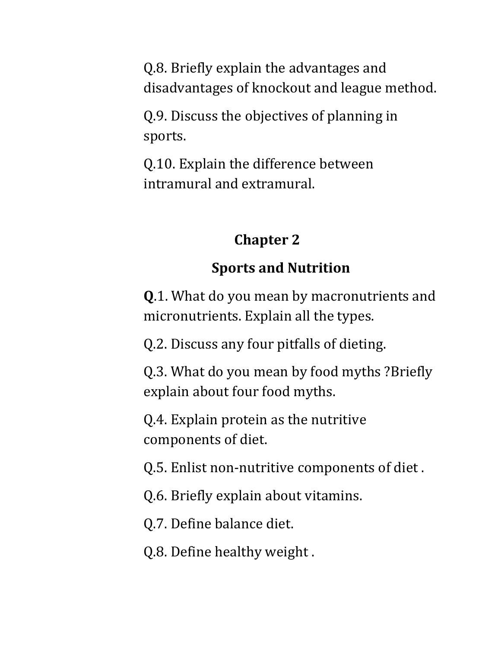Q.8. Briefly explain the advantages and disadvantages of knockout and league method.

Q.9. Discuss the objectives of planning in sports.

Q.10. Explain the difference between intramural and extramural.

#### **Chapter 2**

## **Sports and Nutrition**

**Q**.1. What do you mean by macronutrients and micronutrients. Explain all the types.

Q.2. Discuss any four pitfalls of dieting.

Q.3. What do you mean by food myths ?Briefly explain about four food myths.

Q.4. Explain protein as the nutritive components of diet.

Q.5. Enlist non-nutritive components of diet .

Q.6. Briefly explain about vitamins.

Q.7. Define balance diet.

Q.8. Define healthy weight .